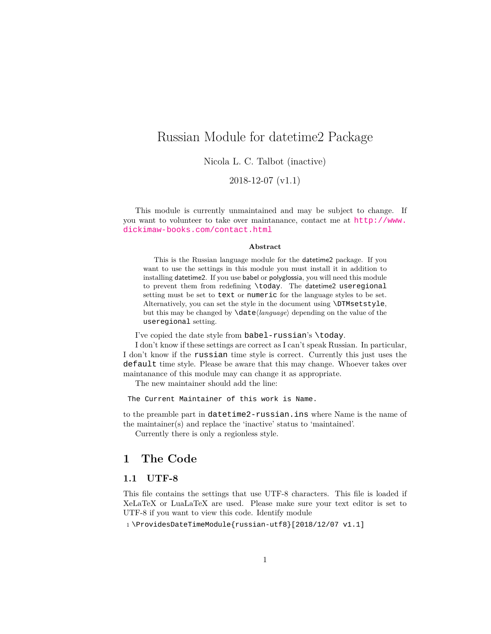## <span id="page-0-0"></span>Russian Module for datetime2 Package

Nicola L. C. Talbot (inactive)

2018-12-07 (v1.1)

This module is currently unmaintained and may be subject to change. If you want to volunteer to take over maintanance, contact me at [http://www.](http://www.dickimaw-books.com/contact.html) [dickimaw-books.com/contact.html](http://www.dickimaw-books.com/contact.html)

#### **Abstract**

This is the Russian language module for the datetime2 package. If you want to use the settings in this module you must install it in addition to installing datetime2. If you use babel or polyglossia, you will need this module to prevent them from redefining \today. The datetime2 useregional setting must be set to text or numeric for the language styles to be set. Alternatively, you can set the style in the document using \DTMsetstyle, but this may be changed by \date*⟨language⟩* depending on the value of the useregional setting.

I've copied the date style from babel-russian's \today.

I don't know if these settings are correct as I can't speak Russian. In particular, I don't know if the russian time style is correct. Currently this just uses the default time style. Please be aware that this may change. Whoever takes over maintanance of this module may can change it as appropriate.

The new maintainer should add the line:

The Current Maintainer of this work is Name.

to the preamble part in datetime2-russian.ins where Name is the name of the maintainer(s) and replace the 'inactive' status to 'maintained'.

Currently there is only a regionless style.

## **1 The Code**

## **1.1 UTF-8**

This file contains the settings that use UTF-8 characters. This file is loaded if XeLaTeX or LuaLaTeX are used. Please make sure your text editor is set to UTF-8 if you want to view this code. Identify module

1 \ProvidesDateTimeModule{russian-utf8}[2018/12/07 v1.1]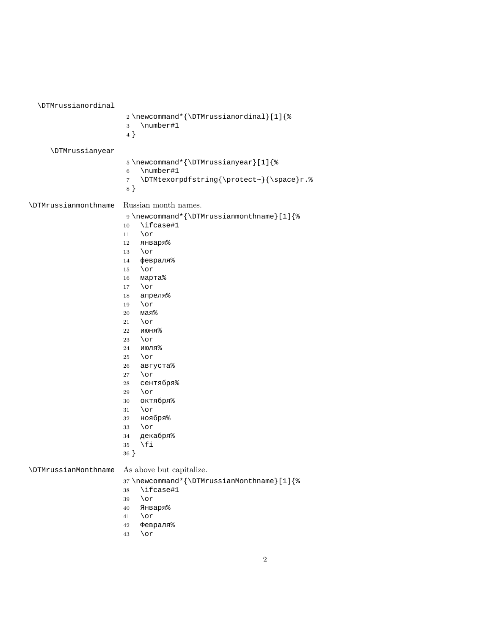<span id="page-1-0"></span>

| \DTMrussianordinal          |                                                                                                                                                                                                                                                                                                                                                                                                                                                                           |
|-----------------------------|---------------------------------------------------------------------------------------------------------------------------------------------------------------------------------------------------------------------------------------------------------------------------------------------------------------------------------------------------------------------------------------------------------------------------------------------------------------------------|
|                             | 2\newcommand*{\DTMrussianordinal}[1]{%<br>\number#1<br>3<br>4 }                                                                                                                                                                                                                                                                                                                                                                                                           |
| <b>\DTMrussianyear</b>      |                                                                                                                                                                                                                                                                                                                                                                                                                                                                           |
|                             | 5\newcommand*{\DTMrussianyear}[1]{%<br>\number#1<br>$\,$ 6 $\,$<br>\DTMtexorpdfstring{\protect~}{\space}r.%<br>$\overline{7}$<br>8}                                                                                                                                                                                                                                                                                                                                       |
| <b>\DTMrussianmonthname</b> | Russian month names.                                                                                                                                                                                                                                                                                                                                                                                                                                                      |
|                             | 9 \newcommand*{\DTMrussianmonthname}[1]{%<br>\ifcase#1<br>10<br>\or<br>11<br>января%<br>12<br>\or<br>13<br>февраля%<br>14<br>$\lor$ or<br>15<br>марта%<br>16<br>\or<br>17<br>апреля%<br>18<br>\or<br>19<br>мая%<br>20<br>\or<br>21<br>июня%<br>22<br>\or<br>23<br>июля%<br>24<br>$\lor$<br>25<br>августа%<br>26<br>\or<br>27<br>сентября%<br>28<br>\or<br>29<br>октября%<br>30<br>$\lor$ or<br>31<br>ноября%<br>32<br>\or<br>33<br>декабря%<br>34<br>\fi<br>35<br>$36 \}$ |
|                             |                                                                                                                                                                                                                                                                                                                                                                                                                                                                           |
| <b>\DTMrussianMonthname</b> | As above but capitalize.                                                                                                                                                                                                                                                                                                                                                                                                                                                  |
|                             | 37\newcommand*{\DTMrussianMonthname}[1]{%<br>\ifcase#1<br>38<br>\or<br>39<br>Января%<br>40<br>\or<br>41<br>Февраля%<br>42                                                                                                                                                                                                                                                                                                                                                 |

\or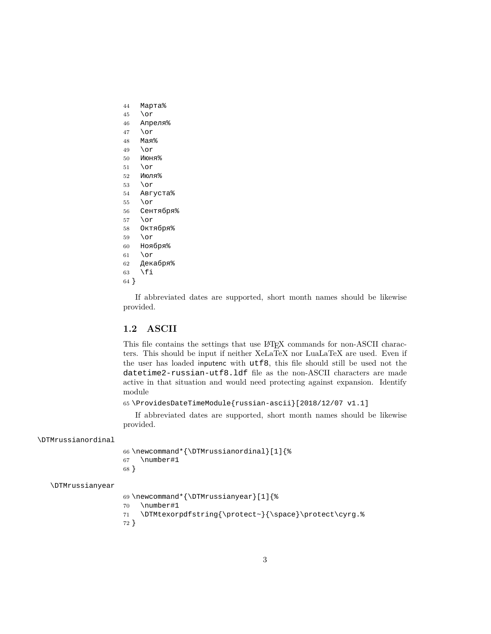- <span id="page-2-0"></span>Марта%
- \or
- Апреля%
- \or
- Мая%
- \or
- Июня%
- \or
- Июля%  $53 \overline{or}$
- Августа%
- \or
- Сентября%
- \or
- Октября%
- \or
- Ноября%
- \or
- Декабря%
- \fi
- }

If abbreviated dates are supported, short month names should be likewise provided.

## **1.2 ASCII**

This file contains the settings that use LAT<sub>EX</sub> commands for non-ASCII characters. This should be input if neither XeLaTeX nor LuaLaTeX are used. Even if the user has loaded inputenc with utf8, this file should still be used not the datetime2-russian-utf8.ldf file as the non-ASCII characters are made active in that situation and would need protecting against expansion. Identify module

\ProvidesDateTimeModule{russian-ascii}[2018/12/07 v1.1]

If abbreviated dates are supported, short month names should be likewise provided.

#### \DTMrussianordinal

 \newcommand\*{\DTMrussianordinal}[1]{% \number#1 }

#### \DTMrussianyear

```
69 \newcommand*{\DTMrussianyear}[1]{%
70 \number#1
71 \DTMtexorpdfstring{\protect~}{\space}\protect\cyrg.%
72 }
```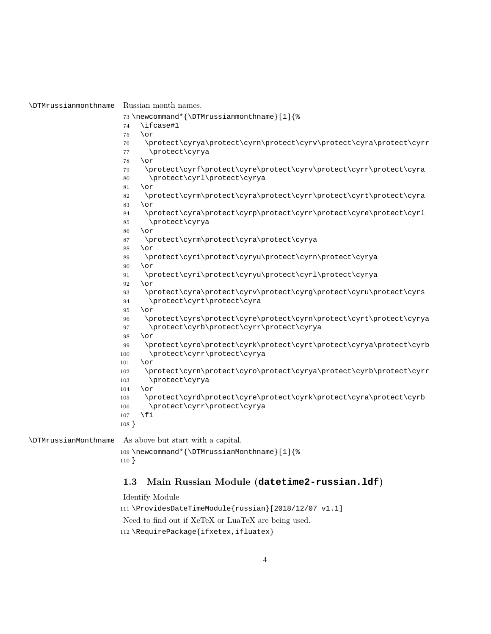\DTMrussianmonthname Russian month names.

```
73 \newcommand*{\DTMrussianmonthname}[1]{%
```
- \ifcase#1
- $75 \overline{\phantom{a}}$  \or
- \protect\cyrya\protect\cyrn\protect\cyrv\protect\cyra\protect\cyrr \protect\cyrya
- \or
- \protect\cyrf\protect\cyre\protect\cyrv\protect\cyrr\protect\cyra \protect\cyrl\protect\cyrya
- \or
- \protect\cyrm\protect\cyra\protect\cyrr\protect\cyrt\protect\cyra \or
- \protect\cyra\protect\cyrp\protect\cyrr\protect\cyre\protect\cyrl \protect\cyrya
- \or
- \protect\cyrm\protect\cyra\protect\cyrya
- \or
- \protect\cyri\protect\cyryu\protect\cyrn\protect\cyrya
- $90 \overline{\phantom{0}}$  \or
- \protect\cyri\protect\cyryu\protect\cyrl\protect\cyrya
- $92 \overline{0}$ 
	- \protect\cyra\protect\cyrv\protect\cyrg\protect\cyru\protect\cyrs \protect\cyrt\protect\cyra
- $95 \overline{\phantom{0}}$  \or
- \protect\cyrs\protect\cyre\protect\cyrn\protect\cyrt\protect\cyrya \protect\cyrb\protect\cyrr\protect\cyrya
- \or
- \protect\cyro\protect\cyrk\protect\cyrt\protect\cyrya\protect\cyrb \protect\cyrr\protect\cyrya
- \or
- \protect\cyrn\protect\cyro\protect\cyrya\protect\cyrb\protect\cyrr \protect\cyrya
- \or
- \protect\cyrd\protect\cyre\protect\cyrk\protect\cyra\protect\cyrb \protect\cyrr\protect\cyrya \fi
- }

\DTMrussianMonthname As above but start with a capital.

```
109 \newcommand*{\DTMrussianMonthname}[1]{%
110 }
```
## **1.3 Main Russian Module (datetime2-russian.ldf)**

```
Identify Module
111 \ProvidesDateTimeModule{russian}[2018/12/07 v1.1]
Need to find out if XeTeX or LuaTeX are being used.
112 \RequirePackage{ifxetex, ifluatex}
```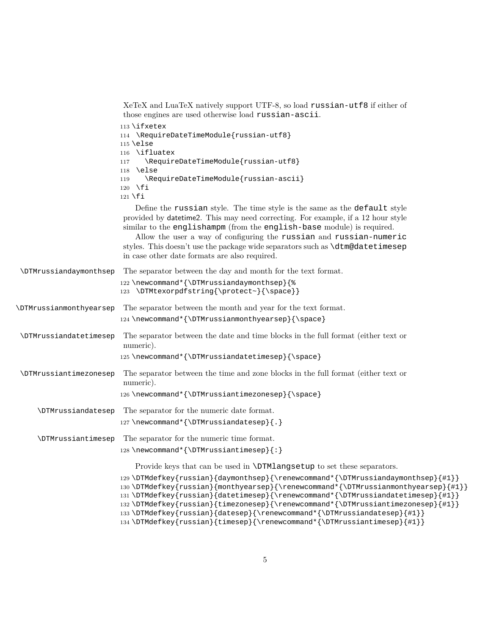<span id="page-4-0"></span>

|                                | XeTeX and LuaTeX natively support UTF-8, so load russian-utf8 if either of<br>those engines are used otherwise load russian-ascii.                                                                                                                                                                                                                                                                                                                                                               |
|--------------------------------|--------------------------------------------------------------------------------------------------------------------------------------------------------------------------------------------------------------------------------------------------------------------------------------------------------------------------------------------------------------------------------------------------------------------------------------------------------------------------------------------------|
|                                | $113$ \ifxetex<br>114 \RequireDateTimeModule{russian-utf8}<br>$115$ \else<br>116 \ifluatex<br>\RequireDateTimeModule{russian-utf8}<br>117<br><b>\else</b><br>118                                                                                                                                                                                                                                                                                                                                 |
|                                | \RequireDateTimeModule{russian-ascii}<br>119<br>$120 \quad \text{f}$<br>$121 \overline{\text{f1}}$                                                                                                                                                                                                                                                                                                                                                                                               |
|                                | Define the russian style. The time style is the same as the default style<br>provided by date time 2. This may need correcting. For example, if a 12 hour style<br>similar to the englishampm (from the english-base module) is required.<br>Allow the user a way of configuring the russian and russian-numeric<br>styles. This doesn't use the package wide separators such as <b>\dtm@datetimesep</b><br>in case other date formats are also required.                                        |
| <b>\DTMrussiandaymonthsep</b>  | The separator between the day and month for the text format.<br>122 \newcommand*{\DTMrussiandaymonthsep}{%<br>123 \DTMtexorpdfstring{\protect~}{\space}}                                                                                                                                                                                                                                                                                                                                         |
| <b>\DTMrussianmonthyearsep</b> | The separator between the month and year for the text format.<br>124 \newcommand*{\DTMrussianmonthyearsep}{\space}                                                                                                                                                                                                                                                                                                                                                                               |
| <b>\DTMrussiandatetimesep</b>  | The separator between the date and time blocks in the full format (either text or<br>numeric).<br>125\newcommand*{\DTMrussiandatetimesep}{\space}                                                                                                                                                                                                                                                                                                                                                |
| <b>\DTMrussiantimezonesep</b>  | The separator between the time and zone blocks in the full format (either text or<br>numeric).<br>126\newcommand*{\DTMrussiantimezonesep}{\space}                                                                                                                                                                                                                                                                                                                                                |
| <b>\DTMrussiandatesep</b>      | The separator for the numeric date format.<br>127\newcommand*{\DTMrussiandatesep}{.}                                                                                                                                                                                                                                                                                                                                                                                                             |
| <b>\DTMrussiantimesep</b>      | The separator for the numeric time format.<br>128\newcommand*{\DTMrussiantimesep}{:}                                                                                                                                                                                                                                                                                                                                                                                                             |
|                                | Provide keys that can be used in <b>\DTMlangsetup</b> to set these separators.                                                                                                                                                                                                                                                                                                                                                                                                                   |
|                                | 129\DTMdefkey{russian}{daymonthsep}{\renewcommand*{\DTMrussiandaymonthsep}{#1}}<br>130\DTMdefkey{russian}{monthyearsep}{\renewcommand*{\DTMrussianmonthyearsep}{#1}}<br>131\DTMdefkey{russian}{datetimesep}{\renewcommand*{\DTMrussiandatetimesep}{#1}}<br>132\DTMdefkey{russian}{timezonesep}{\renewcommand*{\DTMrussiantimezonesep}{#1}}<br>133\DTMdefkey{russian}{datesep}{\renewcommand*{\DTMrussiandatesep}{#1}}<br>134\DTMdefkey{russian}{timesep}{\renewcommand*{\DTMrussiantimesep}{#1}} |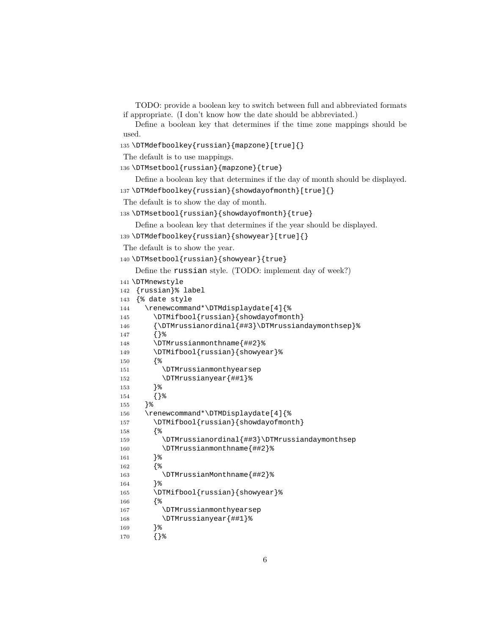```
TODO: provide a boolean key to switch between full and abbreviated formats
if appropriate. (I don't know how the date should be abbreviated.)
```
Define a boolean key that determines if the time zone mappings should be used.

```
135 \DTMdefboolkey{russian}{mapzone}[true]{}
```
The default is to use mappings.

```
136 \DTMsetbool{russian}{mapzone}{true}
```
Define a boolean key that determines if the day of month should be displayed.

```
137 \DTMdefboolkey{russian}{showdayofmonth}[true]{}
```
The default is to show the day of month.

```
138 \DTMsetbool{russian}{showdayofmonth}{true}
```
Define a boolean key that determines if the year should be displayed.

```
139 \DTMdefboolkey{russian}{showyear}[true]{}
```

```
The default is to show the year.
```

```
140 \DTMsetbool{russian}{showyear}{true}
```
Define the russian style. (TODO: implement day of week?)

```
141 \DTMnewstyle
```

```
142 {russian}% label
```

```
143 {% date style
```

```
144 \renewcommand*\DTMdisplaydate[4]{%
```

```
145 \DTMifbool{russian}{showdayofmonth}
146 {\DTMrussianordinal{##3}\DTMrussiandaymonthsep}%
```

```
147 {}%
```

```
148 \DTMrussianmonthname{##2}%
149 \DTMifbool{russian}{showyear}%
```

```
150 {%
```

```
151 \DTMrussianmonthyearsep
```

```
152 \DTMrussianyear{##1}%
```

```
153 }%
```

```
154 {}%
```

```
155 }%
```
\renewcommand\*\DTMDisplaydate[4]{%

157 \DTMifbool{russian}{showdayofmonth}

```
158 {%
```
 \DTMrussianordinal{##3}\DTMrussiandaymonthsep \DTMrussianmonthname{##2}%

```
161 }%
```

```
162 {%
```
\DTMrussianMonthname{##2}%

}%

```
165 \DTMifbool{russian}{showyear}%
```

```
166 {%
```

```
167 \DTMrussianmonthyearsep
```
 \DTMrussianyear{##1}% }%

```
170 {}%
```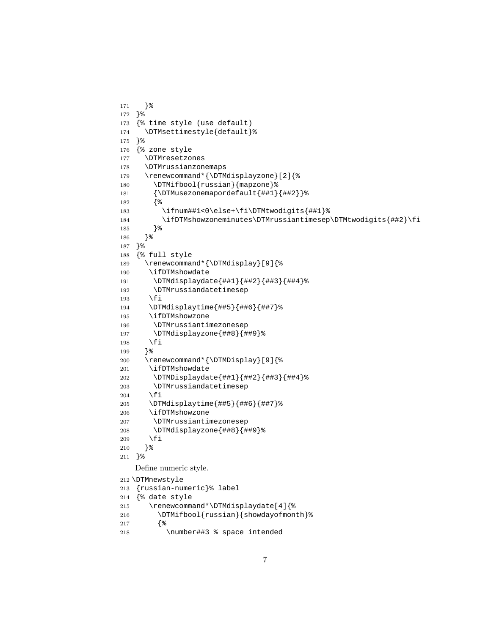```
171 }%
172 }%
173 {% time style (use default)
174 \DTMsettimestyle{default}%
175 }%
176 {% zone style
177 \DTMresetzones
178 \DTMrussianzonemaps
179 \renewcommand*{\DTMdisplayzone}[2]{%
180 \DTMifbool{russian}{mapzone}%
181 {\DTMusezonemapordefault{##1}{##2}}%
182 {%
183 \ifnum##1<0\else+\fi\DTMtwodigits{##1}%
184 \ifDTMshowzoneminutes\DTMrussiantimesep\DTMtwodigits{##2}\fi
185 }%
186 }%
187 }%
188 {% full style
189 \renewcommand*{\DTMdisplay}[9]{%
190 \ifDTMshowdate
191 \DTMdisplaydate{##1}{##2}{##3}{##4}%
192 \DTMrussiandatetimesep
193 \setminusfi
194 \DTMdisplaytime{##5}{##6}{##7}%
195 \ifDTMshowzone
196 \DTMrussiantimezonesep
197 \DTMdisplayzone{##8}{##9}%
198 \fi
199 }%
200 \renewcommand*{\DTMDisplay}[9]{%
201 \ifDTMshowdate
202 \DTMDisplaydate{##1}{##2}{##3}{##4}%
203 \DTMrussiandatetimesep
204 \fi
205 \DTMdisplaytime{##5}{##6}{##7}%
206 \ifDTMshowzone
207 \DTMrussiantimezonesep
208 \DTMdisplayzone{##8}{##9}%
209 \fi
210 }%
211 }%
   Define numeric style.
212 \DTMnewstyle
213 {russian-numeric}% label
214 {% date style
215 \renewcommand*\DTMdisplaydate[4]{%
216 \DTMifbool{russian}{showdayofmonth}%
217 {%
218 \number##3 % space intended
```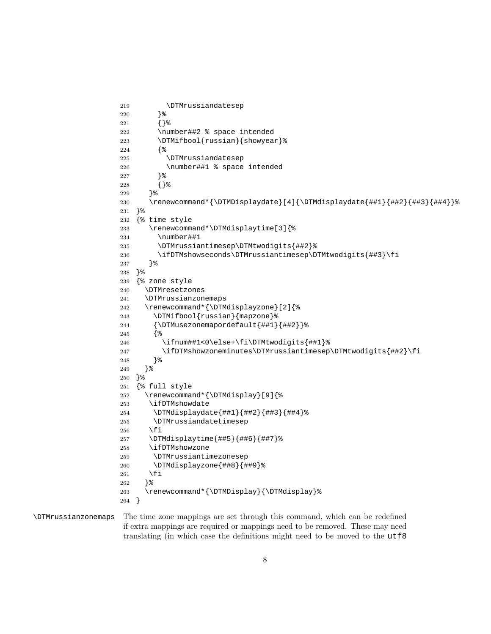```
219 \DTMrussiandatesep
220 }%
221 {}%
222 \number##2 % space intended
223 \DTMifbool{russian}{showyear}%
224 {%
225 \DTMrussiandatesep
226 \number##1 % space intended
227 }%
228 {}%
229 }%
230 \renewcommand*{\DTMDisplaydate}[4]{\DTMdisplaydate{##1}{##2}{##3}{##4}}%
231 }%
232 {% time style
233 \renewcommand*\DTMdisplaytime[3]{%
234 \number##1
235 \DTMrussiantimesep\DTMtwodigits{##2}%
236 \ifDTMshowseconds\DTMrussiantimesep\DTMtwodigits{##3}\fi
237 }%
238 }%
239 {% zone style
240 \DTMresetzones
241 \DTMrussianzonemaps
242 \renewcommand*{\DTMdisplayzone}[2]{%
243 \DTMifbool{russian}{mapzone}%
244 {\DTMusezonemapordefault{##1}{##2}}%
245 {%
246 \ifnum##1<0\else+\fi\DTMtwodigits{##1}%
247 \ifDTMshowzoneminutes\DTMrussiantimesep\DTMtwodigits{##2}\fi
248 }%
249 }%
250 }%
251 {% full style
252 \renewcommand*{\DTMdisplay}[9]{%
253 \ifDTMshowdate
254 \DTMdisplaydate{##1}{##2}{##3}{##4}%
255 \DTMrussiandatetimesep
256 \fi
257 \DTMdisplaytime{##5}{##6}{##7}%
258 \ifDTMshowzone
259 \DTMrussiantimezonesep
260 \DTMdisplayzone{##8}{##9}%
261 \fi
262 }%
263 \renewcommand*{\DTMDisplay}{\DTMdisplay}%
264 }
```
### \DTMrussianzonemaps The time zone mappings are set through this command, which can be redefined if extra mappings are required or mappings need to be removed. These may need translating (in which case the definitions might need to be moved to the utf8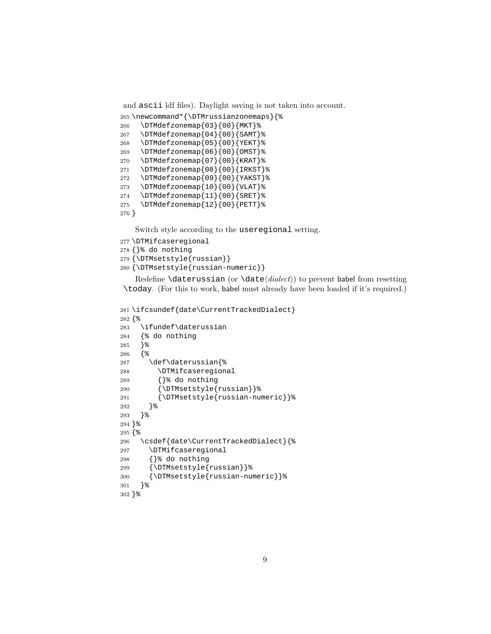```
and ascii ldf files). Daylight saving is not taken into account.
265 \newcommand*{\DTMrussianzonemaps}{%
266 \DTMdefzonemap{03}{00}{MKT}%
267 \DTMdefzonemap{04}{00}{SAMT}%
268 \DTMdefzonemap{05}{00}{YEKT}%
269 \DTMdefzonemap{06}{00}{OMST}%
270 \DTMdefzonemap{07}{00}{KRAT}%
271 \DTMdefzonemap{08}{00}{IRKST}%
272 \DTMdefzonemap{09}{00}{YAKST}%
273 \DTMdefzonemap{10}{00}{VLAT}%
274 \DTMdefzonemap{11}{00}{SRET}%
275 \DTMdefzonemap{12}{00}{PETT}%
276 }
```
Switch style according to the useregional setting.

```
277 \DTMifcaseregional
278 {}% do nothing
279 {\DTMsetstyle{russian}}
280 {\DTMsetstyle{russian-numeric}}
```
Redefine \daterussian (or \date*⟨dialect⟩*) to prevent babel from resetting \today. (For this to work, babel must already have been loaded if it's required.)

```
281 \ifcsundef{date\CurrentTrackedDialect}
282 {%
283 \ifundef\daterussian
284 {% do nothing
285 }%
286 {%
287 \def\daterussian{%
288 \DTMifcaseregional
289 {}% do nothing
290 {\DTMsetstyle{russian}}%
291 {\DTMsetstyle{russian-numeric}}%
292 }%
293 }%
294 }%
295 {%
296 \csdef{date\CurrentTrackedDialect}{%
297 \DTMifcaseregional
298 {}% do nothing
299 {\DTMsetstyle{russian}}%
300 {\DTMsetstyle{russian-numeric}}%
301 }%
302 }%
```